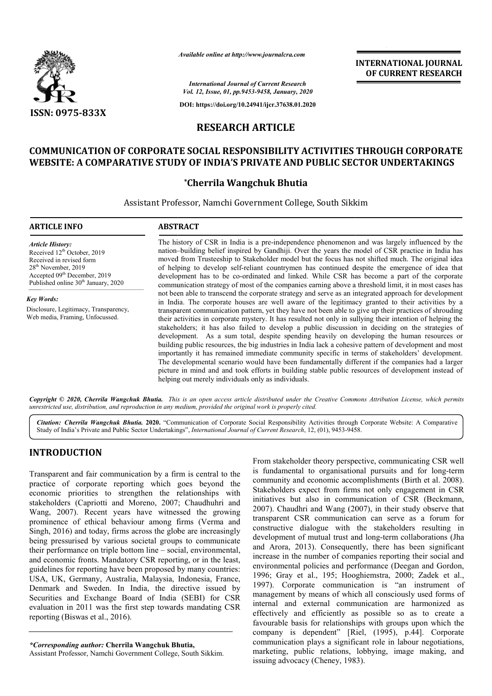

*Available online at http://www.journalcra.com*

**INTERNATIONAL JOURNAL OF CURRENT RESEARCH**

*International Journal of Current Research Vol. 12, Issue, 01, pp.9453-9458, January, 2020*

**DOI: https://doi.org/10.24941/ijcr.37638.01.2020**

## **RESEARCH ARTICLE**

## **COMMUNICATION OF CORPORATE SOCIAL RESPONSIBILITY ACTIVITIES THROUGH CORPORATE COMMUNICATION CORPORATE WEBSITE: A COMPARATIVE STUDY OF INDIA'S PRIVATE AND PUBLIC SECTOR UNDERTAKINGS**

## **\*Cherrila Wangchuk Bhutia**

Assistant Professor, Namchi Government College, South Sikkim

| <b>ARTICLE INFO</b>                                                                                                                                                                                                              | <b>ABSTRACT</b>                                                                                                                                                                                                                                                                                                                                                                                                                                                                                                                                                                                                                                                                                                                                                                                                                                                                                      |
|----------------------------------------------------------------------------------------------------------------------------------------------------------------------------------------------------------------------------------|------------------------------------------------------------------------------------------------------------------------------------------------------------------------------------------------------------------------------------------------------------------------------------------------------------------------------------------------------------------------------------------------------------------------------------------------------------------------------------------------------------------------------------------------------------------------------------------------------------------------------------------------------------------------------------------------------------------------------------------------------------------------------------------------------------------------------------------------------------------------------------------------------|
| <b>Article History:</b><br>Received 12 <sup>th</sup> October, 2019<br>Received in revised form<br>28 <sup>th</sup> November, 2019<br>Accepted 09 <sup>th</sup> December, 2019<br>Published online 30 <sup>th</sup> January, 2020 | The history of CSR in India is a pre-independence phenomenon and was largely influenced by the<br>nation-building belief inspired by Gandhiji. Over the years the model of CSR practice in India has<br>moved from Trusteeship to Stakeholder model but the focus has not shifted much. The original idea<br>of helping to develop self-reliant countrymen has continued despite the emergence of idea that<br>development has to be co-ordinated and linked. While CSR has become a part of the corporate<br>communication strategy of most of the companies earning above a threshold limit, it in most cases has                                                                                                                                                                                                                                                                                  |
| <b>Key Words:</b>                                                                                                                                                                                                                | not been able to transcend the corporate strategy and serve as an integrated approach for development<br>in India. The corporate houses are well aware of the legitimacy granted to their activities by a                                                                                                                                                                                                                                                                                                                                                                                                                                                                                                                                                                                                                                                                                            |
| Disclosure, Legitimacy, Transparency,<br>Web media, Framing, Unfocussed.                                                                                                                                                         | transparent communication pattern, yet they have not been able to give up their practices of shrouding<br>their activities in corporate mystery. It has resulted not only in sullying their intention of helping the<br>stakeholders; it has also failed to develop a public discussion in deciding on the strategies of<br>development. As a sum total, despite spending heavily on developing the human resources or<br>building public resources, the big industries in India lack a cohesive pattern of development and most<br>importantly it has remained immediate community specific in terms of stakeholders' development.<br>The developmental scenario would have been fundamentally different if the companies had a larger<br>picture in mind and and took efforts in building stable public resources of development instead of<br>helping out merely individuals only as individuals. |

Copyright © 2020, Cherrila Wangchuk Bhutia. This is an open access article distributed under the Creative Commons Attribution License, which permits *unrestricted use, distribution, and reproduction in any medium, provided the original work is properly cited.*

*Citation: Cherrila Wangchuk Bhutia.* **2020.** "Communication of Corporate Social Responsibility Activities through Corporate Website: A Comparative Citation: Cherrila Wangchuk Bhutia. 2020. "Communication of Corporate Social Responsibility Activities through<br>Study of India's Private and Public Sector Undertakings", *International Journal of Current Research*, 12, (01)

# **INTRODUCTION**

Transparent and fair communication by a firm is central to the practice of corporate reporting which goes beyond the economic priorities to strengthen the relationships with stakeholders (Capriotti and Moreno, 2007; Chaudhuhri and Wang, 2007). Recent years have witnessed the growing prominence of ethical behaviour among firms (Verma and Singh, 2016) and today, firms across the globe are increasingly being pressurised by various societal groups to communicate their performance on triple bottom line – social, environmental, and economic fronts. Mandatory CSR reporting, or in the least, guidelines for reporting have been proposed by many countries: USA, UK, Germany, Australia, Malaysia, Indonesia, France, Denmark and Sweden. In India, the directive issued by Securities and Exchange Board of India (SEBI) for CSR evaluation in 2011 was the first step towards mandating CSR reporting (Biswas et al., 2016). oreno, 2007; Chaudhuhri and<br>have witnessed the growing<br>our among firms (Verma and<br>cross the globe are increasingly<br>ocietal groups to communicate

*\*Corresponding author:* **Cherrila Wangchuk Bhutia Bhutia,** Assistant Professor, Namchi Government College, South Sikkim Sikkim. From stakeholder theory perspective, communicating CSR well From stakeholder theory perspective, communicating CSR well<br>is fundamental to organisational pursuits and for long-term community and economic accomplishments (Birth et al. 2008). Stakeholders expect from firms not only engagement in CSR initiatives but also in communication of CSR (Beckmann, 2007). Chaudhri and Wang (2007), in their study observe that transparent CSR communication can serve as a forum for constructive dialogue with the stakeholders resulting in development of mutual trust and long-term collaborations (Jha and Arora, 2013). Consequently, there has been significant increase in the number of companies reporting their social and environmental policies and performance (Deegan and Gordon, 1996; Gray et al., 195; Hooghiemstra, 2000; Zadek et al., 1997). Corporate communication is "an instrument of management by means of which all consciously used forms of internal and external communication are harmonized as effectively and efficiently as possible so as to create a favourable basis for relationships with groups upon which the company is dependent" [Riel, (1995), p.44]. Corporate communication plays a significant role in labour negotiations, marketing, public relations, lobbying, image making, and issuing advocacy (Cheney, 1983). community and economic accomplishments (Birth et al. 2008). Stakeholders expect from firms not only engagement in CSR initiatives but also in communication of CSR (Beckmann, 2007). Chaudhri and Wang (2007), in their study 3013). Consequently, there has been significant<br>the number of companies reporting their social and<br>ntal policies and performance (Deegan and Gordon, 1996; Gray et al., 195; Hooghiemstra, 2000; Zadek et al., 1997). Corporate communication is "an instrument of management by means of which all consciously used forms of internal and external communication are harmonized as **INTERNATIONAL JOURNAL OF CURRENT RESEARCH CORPORATE CONFORM CORPORATE SECTOR UNDERTAKINGS**<br> **ESS THROUGH CORPORATE**<br> **ESS THROUGH CORPORATE SECTOR UNDERTAKINGS**<br>
Sikkim<br>
mon and was largely influenced by the<br>
he model of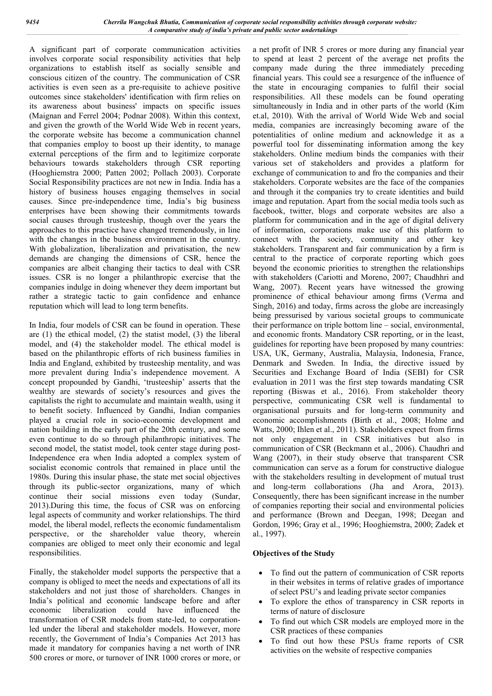A significant part of corporate communication activities involves corporate social responsibility activities that help organizations to establish itself as socially sensible and conscious citizen of the country. The communication of CSR activities is even seen as a pre-requisite to achieve positive outcomes since stakeholders' identification with firm relies on its awareness about business' impacts on specific issues (Maignan and Ferrel 2004; Podnar 2008). Within this context, and given the growth of the World Wide Web in recent years, the corporate website has become a communication channel that companies employ to boost up their identity, to manage external perceptions of the firm and to legitimize corporate behaviours towards stakeholders through CSR reporting (Hooghiemstra 2000; Patten 2002; Pollach 2003). Corporate Social Responsibility practices are not new in India. India has a history of business houses engaging themselves in social causes. Since pre-independence time, India's big business enterprises have been showing their commitments towards social causes through trusteeship, though over the years the approaches to this practice have changed tremendously, in line with the changes in the business environment in the country. With globalization, liberalization and privatisation, the new demands are changing the dimensions of CSR, hence the companies are albeit changing their tactics to deal with CSR issues. CSR is no longer a philanthropic exercise that the companies indulge in doing whenever they deem important but rather a strategic tactic to gain confidence and enhance reputation which will lead to long term benefits.

In India, four models of CSR can be found in operation. These are (1) the ethical model, (2) the statist model, (3) the liberal model, and (4) the stakeholder model. The ethical model is based on the philanthropic efforts of rich business families in India and England, exhibited by trusteeship mentality, and was more prevalent during India's independence movement. A concept propounded by Gandhi, 'trusteeship' asserts that the wealthy are stewards of society's resources and gives the capitalists the right to accumulate and maintain wealth, using it to benefit society. Influenced by Gandhi, Indian companies played a crucial role in socio-economic development and nation building in the early part of the 20th century, and some even continue to do so through philanthropic initiatives. The second model, the statist model, took center stage during post-Independence era when India adopted a complex system of socialist economic controls that remained in place until the 1980s. During this insular phase, the state met social objectives through its public-sector organizations, many of which continue their social missions even today (Sundar, 2013).During this time, the focus of CSR was on enforcing legal aspects of community and worker relationships. The third model, the liberal model, reflects the economic fundamentalism perspective, or the shareholder value theory, wherein companies are obliged to meet only their economic and legal responsibilities.

Finally, the stakeholder model supports the perspective that a company is obliged to meet the needs and expectations of all its stakeholders and not just those of shareholders. Changes in India's political and economic landscape before and after economic liberalization could have influenced the transformation of CSR models from state-led, to corporationled under the liberal and stakeholder models. However, more recently, the Government of India's Companies Act 2013 has made it mandatory for companies having a net worth of INR 500 crores or more, or turnover of INR 1000 crores or more, or a net profit of INR 5 crores or more during any financial year to spend at least 2 percent of the average net profits the company made during the three immediately preceding financial years. This could see a resurgence of the influence of the state in encouraging companies to fulfil their social responsibilities. All these models can be found operating simultaneously in India and in other parts of the world (Kim et.al, 2010). With the arrival of World Wide Web and social media, companies are increasingly becoming aware of the potentialities of online medium and acknowledge it as a powerful tool for disseminating information among the key stakeholders. Online medium binds the companies with their various set of stakeholders and provides a platform for exchange of communication to and fro the companies and their stakeholders. Corporate websites are the face of the companies and through it the companies try to create identities and build image and reputation. Apart from the social media tools such as facebook, twitter, blogs and corporate websites are also a platform for communication and in the age of digital delivery of information, corporations make use of this platform to connect with the society, community and other key stakeholders. Transparent and fair communication by a firm is central to the practice of corporate reporting which goes beyond the economic priorities to strengthen the relationships with stakeholders (Cariotti and Moreno, 2007; Chaudhhri and Wang, 2007). Recent years have witnessed the growing prominence of ethical behaviour among firms (Verma and Singh, 2016) and today, firms across the globe are increasingly being pressurised by various societal groups to communicate their performance on triple bottom line – social, environmental, and economic fronts. Mandatory CSR reporting, or in the least, guidelines for reporting have been proposed by many countries: USA, UK, Germany, Australia, Malaysia, Indonesia, France, Denmark and Sweden. In India, the directive issued by Securities and Exchange Board of India (SEBI) for CSR evaluation in 2011 was the first step towards mandating CSR reporting (Biswas et al., 2016). From stakeholder theory perspective, communicating CSR well is fundamental to organisational pursuits and for long-term community and economic accomplishments (Birth et al., 2008; Holme and Watts, 2000; Ihlen et al., 2011). Stakeholders expect from firms not only engagement in CSR initiatives but also in communication of CSR (Beckmann et al., 2006). Chaudhri and Wang (2007), in their study observe that transparent CSR communication can serve as a forum for constructive dialogue with the stakeholders resulting in development of mutual trust and long-term collaborations (Jha and Arora, 2013). Consequently, there has been significant increase in the number of companies reporting their social and environmental policies and performance (Brown and Deegan, 1998; Deegan and Gordon, 1996; Gray et al., 1996; Hooghiemstra, 2000; Zadek et al., 1997).

### **Objectives of the Study**

- To find out the pattern of communication of CSR reports in their websites in terms of relative grades of importance of select PSU's and leading private sector companies
- To explore the ethos of transparency in CSR reports in terms of nature of disclosure
- To find out which CSR models are employed more in the CSR practices of these companies
- To find out how these PSUs frame reports of CSR activities on the website of respective companies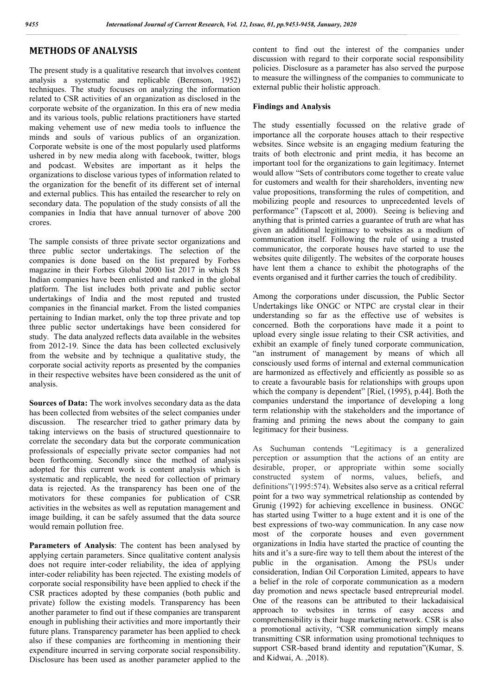## **METHODS OF ANALYSIS**

The present study is a qualitative research that involves content analysis a systematic and replicable (Berenson, 1952) techniques. The study focuses on analyzing the information related to CSR activities of an organization as disclosed in the corporate website of the organization. In this era of new media and its various tools, public relations practitioners have started making vehement use of new media tools to influence the minds and souls of various publics of an organization. Corporate website is one of the most popularly used platforms ushered in by new media along with facebook, twitter, blogs and podcast. Websites are important as it helps the organizations to disclose various types of information related to the organization for the benefit of its different set of internal and external publics. This has entailed the researcher to rely on secondary data. The population of the study consists of all the companies in India that have annual turnover of above 200 crores.

The sample consists of three private sector organizations and three public sector undertakings. The selection of the companies is done based on the list prepared by Forbes magazine in their Forbes Global 2000 list 2017 in which 58 Indian companies have been enlisted and ranked in the global platform. The list includes both private and public sector undertakings of India and the most reputed and trusted companies in the financial market. From the listed companies pertaining to Indian market, only the top three private and top three public sector undertakings have been considered for study. The data analyzed reflects data available in the websites from 2012-19. Since the data has been collected exclusively from the website and by technique a qualitative study, the corporate social activity reports as presented by the companies in their respective websites have been considered as the unit of analysis.

**Sources of Data:** The work involves secondary data as the data has been collected from websites of the select companies under discussion. The researcher tried to gather primary data by taking interviews on the basis of structured questionnaire to correlate the secondary data but the corporate communication professionals of especially private sector companies had not been forthcoming. Secondly since the method of analysis adopted for this current work is content analysis which is systematic and replicable, the need for collection of primary data is rejected. As the transparency has been one of the motivators for these companies for publication of CSR activities in the websites as well as reputation management and image building, it can be safely assumed that the data source would remain pollution free.

**Parameters of Analysis**: The content has been analysed by applying certain parameters. Since qualitative content analysis does not require inter-coder reliability, the idea of applying inter-coder reliability has been rejected. The existing models of corporate social responsibility have been applied to check if the CSR practices adopted by these companies (both public and private) follow the existing models. Transparency has been another parameter to find out if these companies are transparent enough in publishing their activities and more importantly their future plans. Transparency parameter has been applied to check also if these companies are forthcoming in mentioning their expenditure incurred in serving corporate social responsibility. Disclosure has been used as another parameter applied to the

content to find out the interest of the companies under discussion with regard to their corporate social responsibility policies. Disclosure as a parameter has also served the purpose to measure the willingness of the companies to communicate to external public their holistic approach.

#### **Findings and Analysis**

The study essentially focussed on the relative grade of importance all the corporate houses attach to their respective websites. Since website is an engaging medium featuring the traits of both electronic and print media, it has become an important tool for the organizations to gain legitimacy. Internet would allow "Sets of contributors come together to create value for customers and wealth for their shareholders, inventing new value propositions, transforming the rules of competition, and mobilizing people and resources to unprecedented levels of performance" (Tapscott et al, 2000). Seeing is believing and anything that is printed carries a guarantee of truth are what has given an additional legitimacy to websites as a medium of communication itself. Following the rule of using a trusted communicator, the corporate houses have started to use the websites quite diligently. The websites of the corporate houses have lent them a chance to exhibit the photographs of the events organised and it further carries the touch of credibility.

Among the corporations under discussion, the Public Sector Undertakings like ONGC or NTPC are crystal clear in their understanding so far as the effective use of websites is concerned. Both the corporations have made it a point to upload every single issue relating to their CSR activities, and exhibit an example of finely tuned corporate communication, "an instrument of management by means of which all consciously used forms of internal and external communication are harmonized as effectively and efficiently as possible so as to create a favourable basis for relationships with groups upon which the company is dependent" [Riel, (1995), p.44]. Both the companies understand the importance of developing a long term relationship with the stakeholders and the importance of framing and priming the news about the company to gain legitimacy for their business.

As Suchuman contends "Legitimacy is a generalized perception or assumption that the actions of an entity are desirable, proper, or appropriate within some socially constructed system of norms, values, beliefs, and definitions"(1995:574). Websites also serve as a critical referral point for a two way symmetrical relationship as contended by Grunig (1992) for achieving excellence in business. ONGC has started using Twitter to a huge extent and it is one of the best expressions of two-way communication. In any case now most of the corporate houses and even government organizations in India have started the practice of counting the hits and it's a sure-fire way to tell them about the interest of the public in the organisation. Among the PSUs under consideration, Indian Oil Corporation Limited, appears to have a belief in the role of corporate communication as a modern day promotion and news spectacle based entrepreurial model. One of the reasons can be attributed to their lackadaisical approach to websites in terms of easy access and comprehensibility is their huge marketing network. CSR is also a promotional activity, "CSR communication simply means transmitting CSR information using promotional techniques to support CSR-based brand identity and reputation"(Kumar, S. and Kidwai, A. ,2018).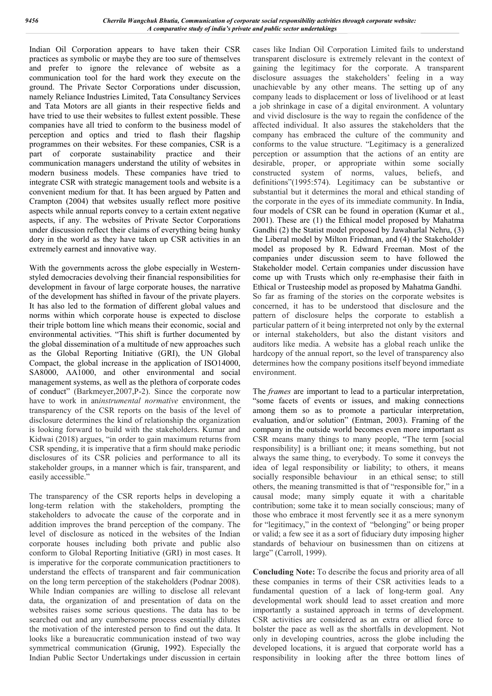Indian Oil Corporation appears to have taken their CSR practices as symbolic or maybe they are too sure of themselves and prefer to ignore the relevance of website as a communication tool for the hard work they execute on the ground. The Private Sector Corporations under discussion, namely Reliance Industries Limited, Tata Consultancy Services and Tata Motors are all giants in their respective fields and have tried to use their websites to fullest extent possible. These companies have all tried to conform to the business model of perception and optics and tried to flash their flagship programmes on their websites. For these companies, CSR is a part of corporate sustainability practice and their communication managers understand the utility of websites in modern business models. These companies have tried to integrate CSR with strategic management tools and website is a convenient medium for that. It has been argued by Patten and Crampton (2004) that websites usually reflect more positive aspects while annual reports convey to a certain extent negative aspects, if any. The websites of Private Sector Corporations under discussion reflect their claims of everything being hunky dory in the world as they have taken up CSR activities in an extremely earnest and innovative way.

With the governments across the globe especially in Westernstyled democracies devolving their financial responsibilities for development in favour of large corporate houses, the narrative of the development has shifted in favour of the private players. It has also led to the formation of different global values and norms within which corporate house is expected to disclose their triple bottom line which means their economic, social and environmental activities. "This shift is further documented by the global dissemination of a multitude of new approaches such as the Global Reporting Initiative (GRI), the UN Global Compact, the global increase in the application of ISO14000, SA8000, AA1000, and other environmental and social management systems, as well as the plethora of corporate codes of conduct" (Barkmeyer,2007,P-2). Since the corporate now have to work in an*instrumental normative* environment, the transparency of the CSR reports on the basis of the level of disclosure determines the kind of relationship the organization is looking forward to build with the stakeholders. Kumar and Kidwai (2018) argues, "in order to gain maximum returns from CSR spending, it is imperative that a firm should make periodic disclosures of its CSR policies and performance to all its stakeholder groups, in a manner which is fair, transparent, and easily accessible."

The transparency of the CSR reports helps in developing a long-term relation with the stakeholders, prompting the stakeholders to advocate the cause of the corporate and in addition improves the brand perception of the company. The level of disclosure as noticed in the websites of the Indian corporate houses including both private and public also conform to Global Reporting Initiative (GRI) in most cases. It is imperative for the corporate communication practitioners to understand the effects of transparent and fair communication on the long term perception of the stakeholders (Podnar 2008). While Indian companies are willing to disclose all relevant data, the organization of and presentation of data on the websites raises some serious questions. The data has to be searched out and any cumbersome process essentially dilutes the motivation of the interested person to find out the data. It looks like a bureaucratic communication instead of two way symmetrical communication (Grunig, 1992). Especially the Indian Public Sector Undertakings under discussion in certain

cases like Indian Oil Corporation Limited fails to understand transparent disclosure is extremely relevant in the context of gaining the legitimacy for the corporate. A transparent disclosure assuages the stakeholders' feeling in a way unachievable by any other means. The setting up of any company leads to displacement or loss of livelihood or at least a job shrinkage in case of a digital environment. A voluntary and vivid disclosure is the way to regain the confidence of the affected individual. It also assures the stakeholders that the company has embraced the culture of the community and conforms to the value structure. "Legitimacy is a generalized perception or assumption that the actions of an entity are desirable, proper, or appropriate within some socially constructed system of norms, values, beliefs, and definitions"(1995:574). Legitimacy can be substantive or substantial but it determines the moral and ethical standing of the corporate in the eyes of its immediate community. In India, four models of CSR can be found in operation (Kumar et al., 2001). These are (1) the Ethical model proposed by Mahatma Gandhi (2) the Statist model proposed by Jawaharlal Nehru, (3) the Liberal model by Milton Friedman, and (4) the Stakeholder model as proposed by R. Edward Freeman. Most of the companies under discussion seem to have followed the Stakeholder model. Certain companies under discussion have come up with Trusts which only re-emphasise their faith in Ethical or Trusteeship model as proposed by Mahatma Gandhi. So far as framing of the stories on the corporate websites is concerned, it has to be understood that disclosure and the pattern of disclosure helps the corporate to establish a particular pattern of it being interpreted not only by the external or internal stakeholders, but also the distant visitors and auditors like media. A website has a global reach unlike the hardcopy of the annual report, so the level of transparency also determines how the company positions itself beyond immediate environment.

The *frames* are important to lead to a particular interpretation, "some facets of events or issues, and making connections among them so as to promote a particular interpretation, evaluation, and/or solution" (Entman, 2003). Framing of the company in the outside world becomes even more important as CSR means many things to many people, "The term [social responsibility] is a brilliant one; it means something, but not always the same thing, to everybody. To some it conveys the idea of legal responsibility or liability; to others, it means socially responsible behaviour in an ethical sense; to still others, the meaning transmitted is that of "responsible for," in a causal mode; many simply equate it with a charitable contribution; some take it to mean socially conscious; many of those who embrace it most fervently see it as a mere synonym for "legitimacy," in the context of "belonging" or being proper or valid; a few see it as a sort of fiduciary duty imposing higher standards of behaviour on businessmen than on citizens at large" (Carroll, 1999).

**Concluding Note:** To describe the focus and priority area of all these companies in terms of their CSR activities leads to a fundamental question of a lack of long-term goal. Any developmental work should lead to asset creation and more importantly a sustained approach in terms of development. CSR activities are considered as an extra or allied force to bolster the pace as well as the shortfalls in development. Not only in developing countries, across the globe including the developed locations, it is argued that corporate world has a responsibility in looking after the three bottom lines of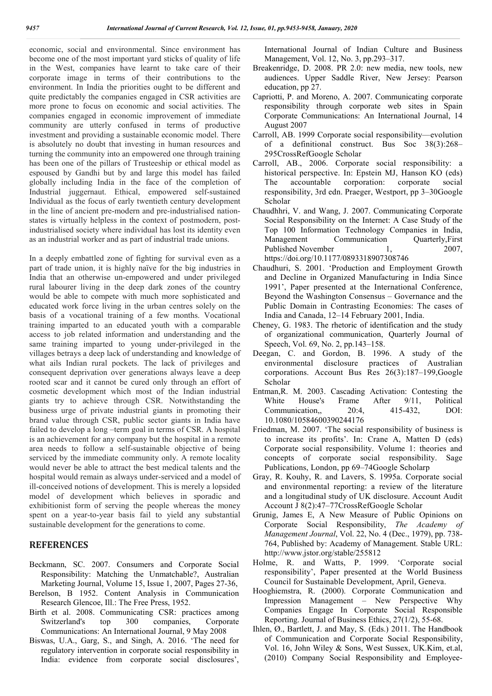economic, social and environmental. Since environment has become one of the most important yard sticks of quality of life in the West, companies have learnt to take care of their corporate image in terms of their contributions to the environment. In India the priorities ought to be different and quite predictably the companies engaged in CSR activities are more prone to focus on economic and social activities. The companies engaged in economic improvement of immediate community are utterly confused in terms of productive investment and providing a sustainable economic model. There is absolutely no doubt that investing in human resources and turning the community into an empowered one through training has been one of the pillars of Trusteeship or ethical model as espoused by Gandhi but by and large this model has failed globally including India in the face of the completion of Industrial juggernaut. Ethical, empowered self-sustained Individual as the focus of early twentieth century development in the line of ancient pre-modern and pre-industrialised nationstates is virtually helpless in the context of postmodern, postindustrialised society where individual has lost its identity even as an industrial worker and as part of industrial trade unions.

In a deeply embattled zone of fighting for survival even as a part of trade union, it is highly naïve for the big industries in India that an otherwise un-empowered and under privileged rural labourer living in the deep dark zones of the country would be able to compete with much more sophisticated and educated work force living in the urban centres solely on the basis of a vocational training of a few months. Vocational training imparted to an educated youth with a comparable access to job related information and understanding and the same training imparted to young under-privileged in the villages betrays a deep lack of understanding and knowledge of what ails Indian rural pockets. The lack of privileges and consequent deprivation over generations always leave a deep rooted scar and it cannot be cured only through an effort of cosmetic development which most of the Indian industrial giants try to achieve through CSR. Notwithstanding the business urge of private industrial giants in promoting their brand value through CSR, public sector giants in India have failed to develop a long –term goal in terms of CSR. A hospital is an achievement for any company but the hospital in a remote area needs to follow a self-sustainable objective of being serviced by the immediate community only. A remote locality would never be able to attract the best medical talents and the hospital would remain as always under-serviced and a model of ill-conceived notions of development. This is merely a lopsided model of development which believes in sporadic and exhibitionist form of serving the people whereas the money spent on a year-to-year basis fail to yield any substantial sustainable development for the generations to come.

### **REFERENCES**

- Beckmann, SC. 2007. Consumers and Corporate Social Responsibility: Matching the Unmatchable?, Australian Marketing Journal, Volume 15, Issue 1, 2007, Pages 27-36,
- Berelson, B 1952. Content Analysis in Communication Research Glencoe, Ill.: The Free Press, 1952.
- Birth et al. 2008. Communicating CSR: practices among Switzerland's top 300 companies, Corporate Communications: An International Journal, 9 May 2008
- Biswas, U.A., Garg, S., and Singh, A. 2016. 'The need for regulatory intervention in corporate social responsibility in India: evidence from corporate social disclosures',

International Journal of Indian Culture and Business Management, Vol. 12, No. 3, pp.293–317.

- Breakenridge, D. 2008. PR 2.0: new media, new tools, new audiences. Upper Saddle River, New Jersey: Pearson education, pp 27.
- Capriotti, P. and Moreno, A. 2007. Communicating corporate responsibility through corporate web sites in Spain Corporate Communications: An International Journal, 14 August 2007
- Carroll, AB. 1999 Corporate social responsibility—evolution of a definitional construct. Bus Soc 38(3):268– 295CrossRefGoogle Scholar
- Carroll, AB., 2006. Corporate social responsibility: a historical perspective. In: Epstein MJ, Hanson KO (eds) The accountable corporation: corporate social responsibility, 3rd edn. Praeger, Westport, pp 3–30Google Scholar
- Chaudhhri, V. and Wang, J. 2007. Communicating Corporate Social Responsibility on the Internet: A Case Study of the Top 100 Information Technology Companies in India, Management Communication Quarterly,First Published November 1, 2007, https://doi.org/10.1177/0893318907308746
- Chaudhuri, S. 2001. 'Production and Employment Growth and Decline in Organized Manufacturing in India Since 1991', Paper presented at the International Conference, Beyond the Washington Consensus – Governance and the Public Domain in Contrasting Economies: The cases of India and Canada, 12–14 February 2001, India.
- Cheney, G. 1983. The rhetoric of identification and the study of organizational communication, Quarterly Journal of Speech, Vol. 69, No. 2, pp.143–158.
- Deegan, C. and Gordon, B. 1996. A study of the environmental disclosure practices of Australian corporations. Account Bus Res 26(3):187–199,Google Scholar
- Entman,R. M. 2003. Cascading Activation: Contesting the White House's Frame After 9/11, Political Communication,, 20:4, 415-432, DOI: 10.1080/10584600390244176
- Friedman, M. 2007. 'The social responsibility of business is to increase its profits'. In: Crane A, Matten D (eds) Corporate social responsibility. Volume 1: theories and concepts of corporate social responsibility. Sage Publications, London, pp 69–74Google Scholarp
- Gray, R. Kouhy, R. and Lavers, S. 1995a. Corporate social and environmental reporting: a review of the literature and a longitudinal study of UK disclosure. Account Audit Account J 8(2):47–77CrossRefGoogle Scholar
- Grunig, James E, A New Measure of Public Opinions on Corporate Social Responsibility, *The Academy of Management Journal*, Vol. 22, No. 4 (Dec., 1979), pp. 738- 764, Published by: Academy of Management. Stable URL: http://www.jstor.org/stable/255812
- Holme, R. and Watts, P. 1999. 'Corporate social responsibility', Paper presented at the World Business Council for Sustainable Development, April, Geneva.
- Hooghiemstra, R. (2000). Corporate Communication and Impression Management – New Perspective Why Companies Engage In Corporate Social Responsible Reporting. Journal of Business Ethics, 27(1/2), 55-68.
- Ihlen, Ø., Bartlett, J. and May, S. (Eds.) 2011. The Handbook of Communication and Corporate Social Responsibility, Vol. 16, John Wiley & Sons, West Sussex, UK.Kim, et.al, (2010) Company Social Responsibility and Employee-